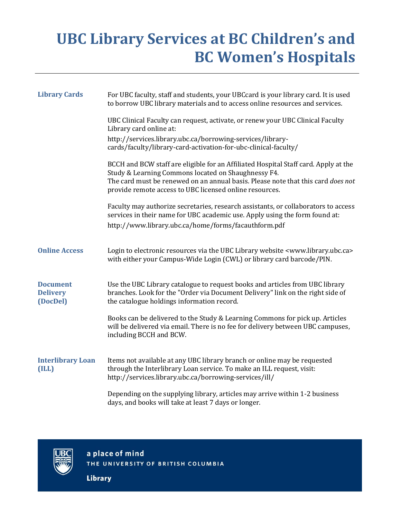## **UBC Library Services at BC Children's and BC Women's Hospitals**

| <b>Library Cards</b>                           | For UBC faculty, staff and students, your UBCcard is your library card. It is used<br>to borrow UBC library materials and to access online resources and services.                                                                                                                        |
|------------------------------------------------|-------------------------------------------------------------------------------------------------------------------------------------------------------------------------------------------------------------------------------------------------------------------------------------------|
|                                                | UBC Clinical Faculty can request, activate, or renew your UBC Clinical Faculty<br>Library card online at:<br>http://services.library.ubc.ca/borrowing-services/library-<br>cards/faculty/library-card-activation-for-ubc-clinical-faculty/                                                |
|                                                | BCCH and BCW staff are eligible for an Affiliated Hospital Staff card. Apply at the<br>Study & Learning Commons located on Shaughnessy F4.<br>The card must be renewed on an annual basis. Please note that this card does not<br>provide remote access to UBC licensed online resources. |
|                                                | Faculty may authorize secretaries, research assistants, or collaborators to access<br>services in their name for UBC academic use. Apply using the form found at:<br>http://www.library.ubc.ca/home/forms/facauthform.pdf                                                                 |
| <b>Online Access</b>                           | Login to electronic resources via the UBC Library website <www.library.ubc.ca><br/>with either your Campus-Wide Login (CWL) or library card barcode/PIN.</www.library.ubc.ca>                                                                                                             |
| <b>Document</b><br><b>Delivery</b><br>(DocDel) | Use the UBC Library catalogue to request books and articles from UBC library<br>branches. Look for the "Order via Document Delivery" link on the right side of<br>the catalogue holdings information record.                                                                              |
|                                                | Books can be delivered to the Study & Learning Commons for pick up. Articles<br>will be delivered via email. There is no fee for delivery between UBC campuses,<br>including BCCH and BCW.                                                                                                |
| <b>Interlibrary Loan</b><br>(ILL)              | Items not available at any UBC library branch or online may be requested<br>through the Interlibrary Loan service. To make an ILL request, visit:<br>http://services.library.ubc.ca/borrowing-services/ill/                                                                               |
|                                                | Depending on the supplying library, articles may arrive within 1-2 business<br>days, and books will take at least 7 days or longer.                                                                                                                                                       |



a place of mind THE UNIVERSITY OF BRITISH COLUMBIA

**Library**